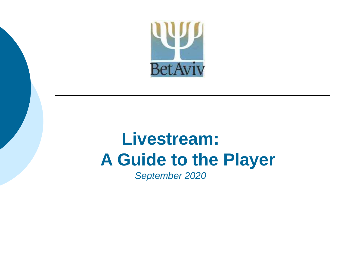

### **Livestream: A Guide to the Player** *September 2020*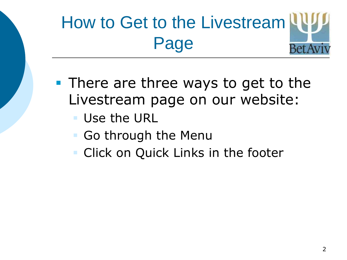### How to Get to the Livestream Page **Bet**

- **There are three ways to get to the** Livestream page on our website:
	- Use the URL
	- Go through the Menu
	- Click on Quick Links in the footer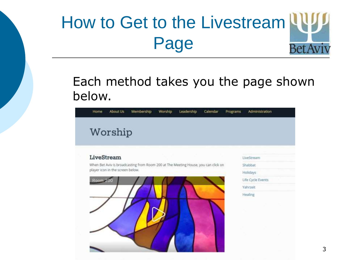### How to Get to the Livestream Page **BetA**

### Each method takes you the page shown below.

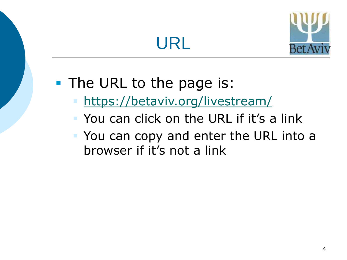## URL



### **The URL to the page is:**

- <https://betaviv.org/livestream/>
- You can click on the URL if it's a link
- You can copy and enter the URL into a browser if it's not a link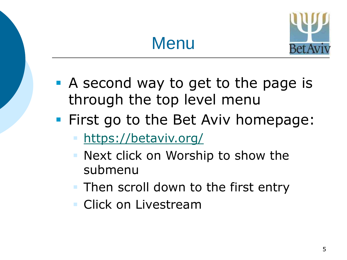## Menu



- **A** second way to get to the page is through the top level menu
- **First go to the Bet Aviv homepage:** 
	- <https://betaviv.org/>
	- Next click on Worship to show the submenu
	- Then scroll down to the first entry
	- **Click on Livestream**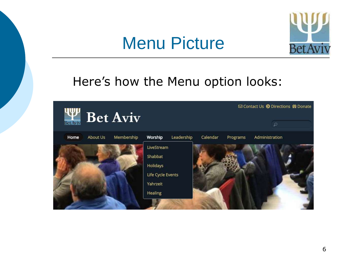### Menu Picture



### Here's how the Menu option looks:

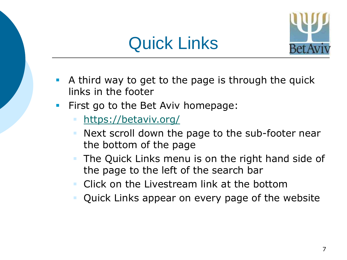



- A third way to get to the page is through the quick links in the footer
- **First go to the Bet Aviv homepage:** 
	- <https://betaviv.org/>
	- Next scroll down the page to the sub-footer near the bottom of the page
	- The Quick Links menu is on the right hand side of the page to the left of the search bar
	- Click on the Livestream link at the bottom
	- Quick Links appear on every page of the website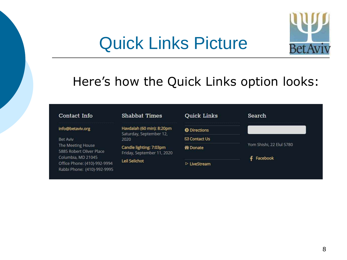### Quick Links Picture



### Here's how the Quick Links option looks:

#### Contact Info

#### info@betaviv.org

#### **Bet Aviv**

The Meeting House 5885 Robert Oliver Place Columbia, MD 21045 Office Phone: (410)-992-9994 Rabbi Phone: (410)-992-9995

#### **Shabbat Times**

Havdalah (60 min): 8:20pm Saturday, September 12, 2020

Candle lighting: 7:03pm Friday, September 11, 2020

#### **Leil Selichot**

| Quick Links                 | Search                   |
|-----------------------------|--------------------------|
| <b>Directions</b>           |                          |
| ⊠ Contact Us                |                          |
| <b>普Donate</b>              | Yom Shishi, 22 Elul 5780 |
|                             | Facebook                 |
| $\triangleright$ LiveStream |                          |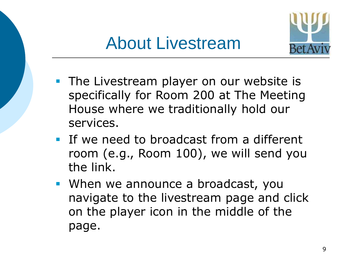

- **The Livestream player on our website is** specifically for Room 200 at The Meeting House where we traditionally hold our services.
- **If we need to broadcast from a different** room (e.g., Room 100), we will send you the link.
- When we announce a broadcast, you navigate to the livestream page and click on the player icon in the middle of the page.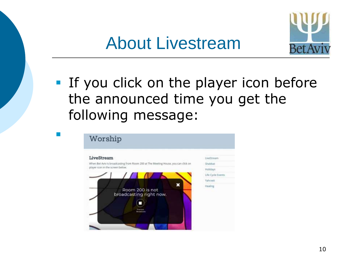

**If you click on the player icon before** the announced time you get the following message:

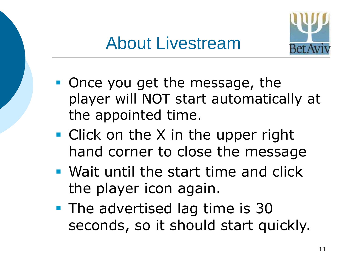

- Once you get the message, the player will NOT start automatically at the appointed time.
- **Click on the X in the upper right** hand corner to close the message
- Wait until the start time and click the player icon again.
- **The advertised lag time is 30** seconds, so it should start quickly.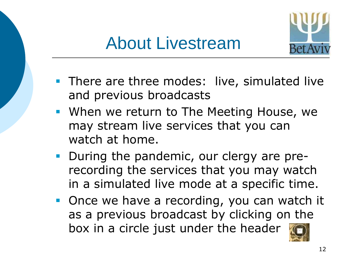

- **There are three modes: live, simulated live** and previous broadcasts
- When we return to The Meeting House, we may stream live services that you can watch at home.
- **During the pandemic, our clergy are pre**recording the services that you may watch in a simulated live mode at a specific time.
- **Once we have a recording, you can watch it** as a previous broadcast by clicking on the box in a circle just under the header

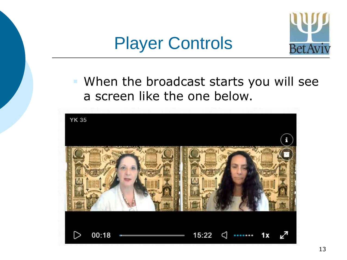### Player Controls



 When the broadcast starts you will see a screen like the one below.

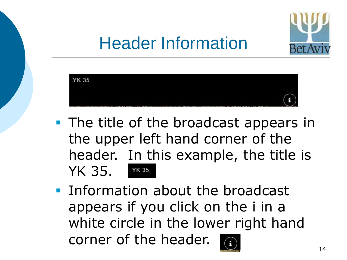

# Header Information



- **The title of the broadcast appears in** the upper left hand corner of the header. In this example, the title is YK 35. **YK 35**
- **Information about the broadcast** appears if you click on the i in a white circle in the lower right hand corner of the header.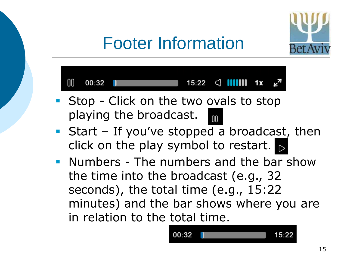

# Footer Information



- **Stop Click on the two ovals to stop** playing the broadcast.  $\mathsf{nn}$
- Start If you've stopped a broadcast, then click on the play symbol to restart.  $\triangleright$
- **Numbers The numbers and the bar show** the time into the broadcast (e.g., 32 seconds), the total time (e.g., 15:22 minutes) and the bar shows where you are in relation to the total time.

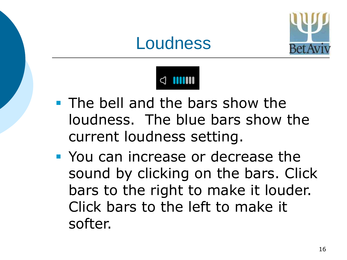





- **The bell and the bars show the** loudness. The blue bars show the current loudness setting.
- **You can increase or decrease the** sound by clicking on the bars. Click bars to the right to make it louder. Click bars to the left to make it softer.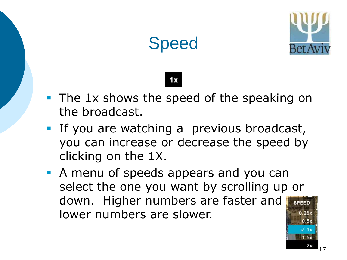





- The 1x shows the speed of the speaking on the broadcast.
- **If you are watching a previous broadcast,** you can increase or decrease the speed by clicking on the 1X.
- **A menu of speeds appears and you can** select the one you want by scrolling up or down. Higher numbers are faster and lower numbers are slower.